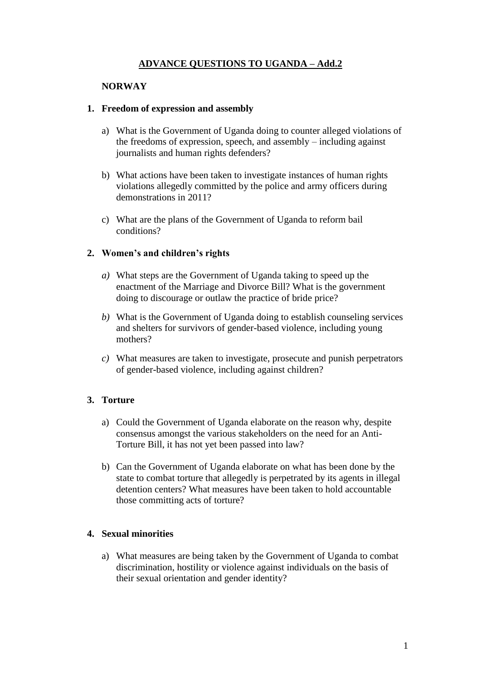# **ADVANCE QUESTIONS TO UGANDA – Add.2**

### **NORWAY**

### **1. Freedom of expression and assembly**

- a) What is the Government of Uganda doing to counter alleged violations of the freedoms of expression, speech, and assembly – including against journalists and human rights defenders?
- b) What actions have been taken to investigate instances of human rights violations allegedly committed by the police and army officers during demonstrations in 2011?
- c) What are the plans of the Government of Uganda to reform bail conditions?

### **2. Women's and children's rights**

- *a)* What steps are the Government of Uganda taking to speed up the enactment of the Marriage and Divorce Bill? What is the government doing to discourage or outlaw the practice of bride price?
- *b)* What is the Government of Uganda doing to establish counseling services and shelters for survivors of gender-based violence, including young mothers?
- *c)* What measures are taken to investigate, prosecute and punish perpetrators of gender-based violence, including against children?

## **3. Torture**

- a) Could the Government of Uganda elaborate on the reason why, despite consensus amongst the various stakeholders on the need for an Anti-Torture Bill, it has not yet been passed into law?
- b) Can the Government of Uganda elaborate on what has been done by the state to combat torture that allegedly is perpetrated by its agents in illegal detention centers? What measures have been taken to hold accountable those committing acts of torture?

## **4. Sexual minorities**

a) What measures are being taken by the Government of Uganda to combat discrimination, hostility or violence against individuals on the basis of their sexual orientation and gender identity?